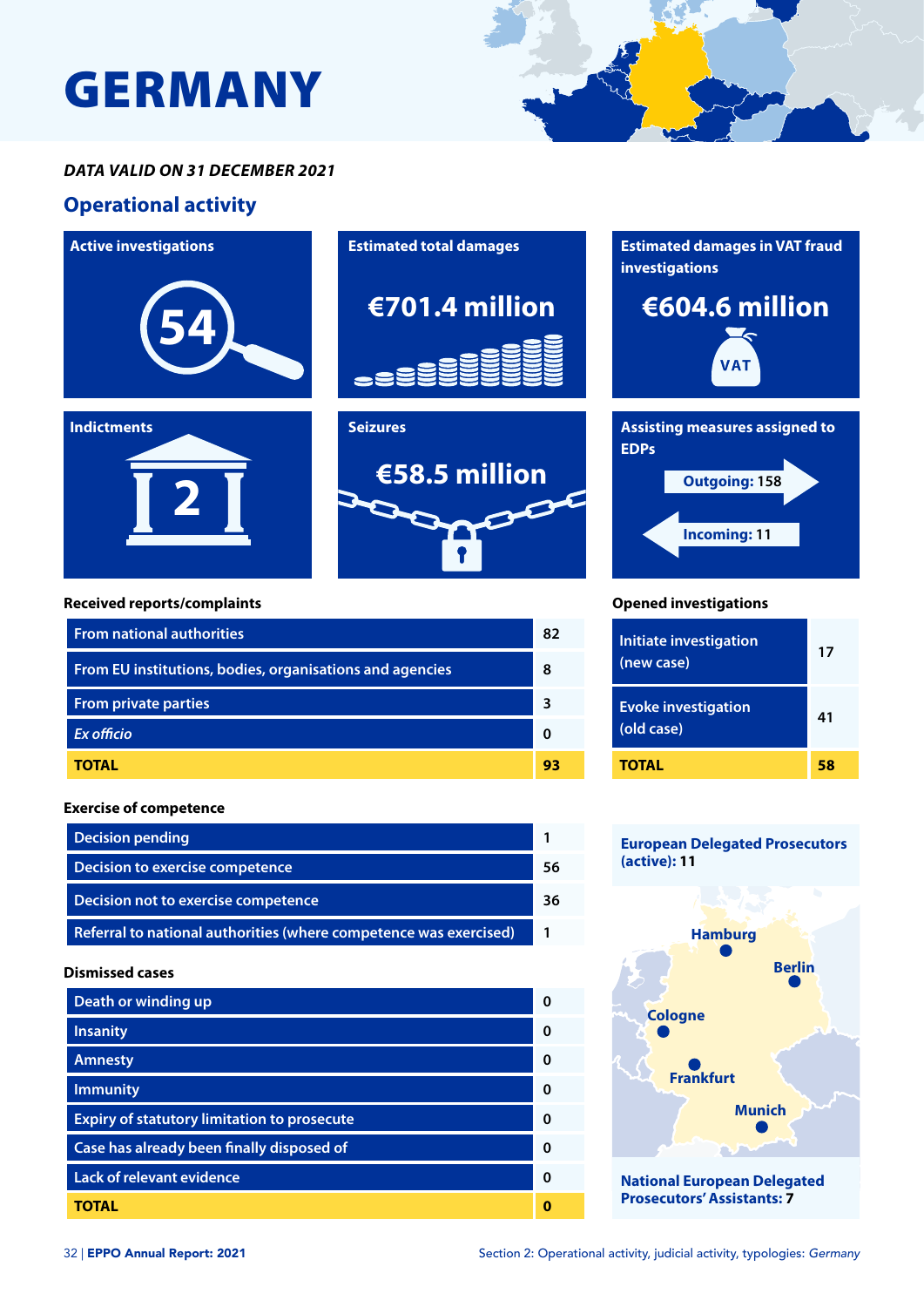# GERMANY

### *DATA VALID ON 31 DECEMBER 2021*

## **Operational activity**



#### **Exercise of competence**

| <b>Decision pending</b>                                           |     |
|-------------------------------------------------------------------|-----|
| Decision to exercise competence                                   |     |
| Decision not to exercise competence                               | 36. |
| Referral to national authorities (where competence was exercised) |     |

#### **Dismissed cases**

| Death or winding up                                |   |
|----------------------------------------------------|---|
| <b>Insanity</b>                                    | ŋ |
| <b>Amnesty</b>                                     | ŋ |
| <b>Immunity</b>                                    | ŋ |
| <b>Expiry of statutory limitation to prosecute</b> | ŋ |
| Case has already been finally disposed of          | n |
| <b>Lack of relevant evidence</b>                   | ŋ |
| TOTAL                                              |   |

#### **European Delegated Prosecutors (active): 11**